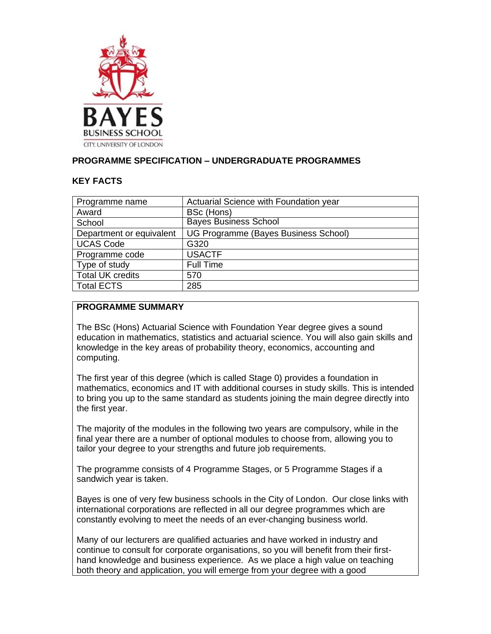

### **PROGRAMME SPECIFICATION – UNDERGRADUATE PROGRAMMES**

### **KEY FACTS**

| Programme name           | Actuarial Science with Foundation year |
|--------------------------|----------------------------------------|
| Award                    | BSc (Hons)                             |
| School                   | <b>Bayes Business School</b>           |
| Department or equivalent | UG Programme (Bayes Business School)   |
| <b>UCAS Code</b>         | G320                                   |
| Programme code           | <b>USACTF</b>                          |
| Type of study            | <b>Full Time</b>                       |
| <b>Total UK credits</b>  | 570                                    |
| <b>Total ECTS</b>        | 285                                    |
|                          |                                        |

#### **PROGRAMME SUMMARY**

The BSc (Hons) Actuarial Science with Foundation Year degree gives a sound education in mathematics, statistics and actuarial science. You will also gain skills and knowledge in the key areas of probability theory, economics, accounting and computing.

The first year of this degree (which is called Stage 0) provides a foundation in mathematics, economics and IT with additional courses in study skills. This is intended to bring you up to the same standard as students joining the main degree directly into the first year.

The majority of the modules in the following two years are compulsory, while in the final year there are a number of optional modules to choose from, allowing you to tailor your degree to your strengths and future job requirements.

The programme consists of 4 Programme Stages, or 5 Programme Stages if a sandwich year is taken.

Bayes is one of very few business schools in the City of London. Our close links with international corporations are reflected in all our degree programmes which are constantly evolving to meet the needs of an ever-changing business world.

Many of our lecturers are qualified actuaries and have worked in industry and continue to consult for corporate organisations, so you will benefit from their firsthand knowledge and business experience. As we place a high value on teaching both theory and application, you will emerge from your degree with a good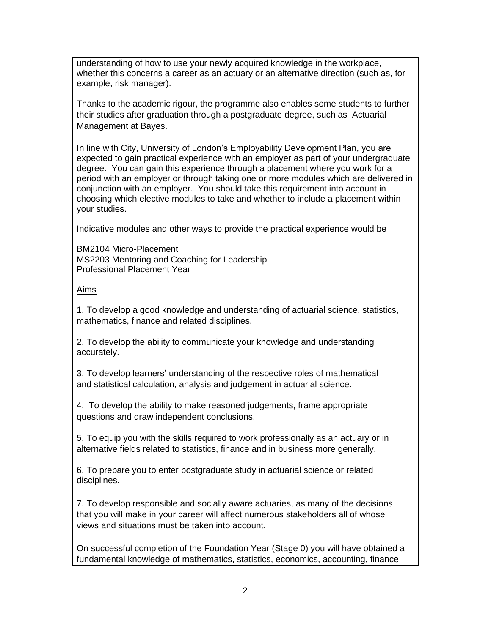understanding of how to use your newly acquired knowledge in the workplace, whether this concerns a career as an actuary or an alternative direction (such as, for example, risk manager).

Thanks to the academic rigour, the programme also enables some students to further their studies after graduation through a postgraduate degree, such as Actuarial Management at Bayes.

In line with City, University of London's Employability Development Plan, you are expected to gain practical experience with an employer as part of your undergraduate degree. You can gain this experience through a placement where you work for a period with an employer or through taking one or more modules which are delivered in conjunction with an employer. You should take this requirement into account in choosing which elective modules to take and whether to include a placement within your studies.

Indicative modules and other ways to provide the practical experience would be

BM2104 Micro-Placement MS2203 Mentoring and Coaching for Leadership Professional Placement Year

### Aims

1. To develop a good knowledge and understanding of actuarial science, statistics, mathematics, finance and related disciplines.

2. To develop the ability to communicate your knowledge and understanding accurately.

3. To develop learners' understanding of the respective roles of mathematical and statistical calculation, analysis and judgement in actuarial science.

4. To develop the ability to make reasoned judgements, frame appropriate questions and draw independent conclusions.

5. To equip you with the skills required to work professionally as an actuary or in alternative fields related to statistics, finance and in business more generally.

6. To prepare you to enter postgraduate study in actuarial science or related disciplines.

7. To develop responsible and socially aware actuaries, as many of the decisions that you will make in your career will affect numerous stakeholders all of whose views and situations must be taken into account.

On successful completion of the Foundation Year (Stage 0) you will have obtained a fundamental knowledge of mathematics, statistics, economics, accounting, finance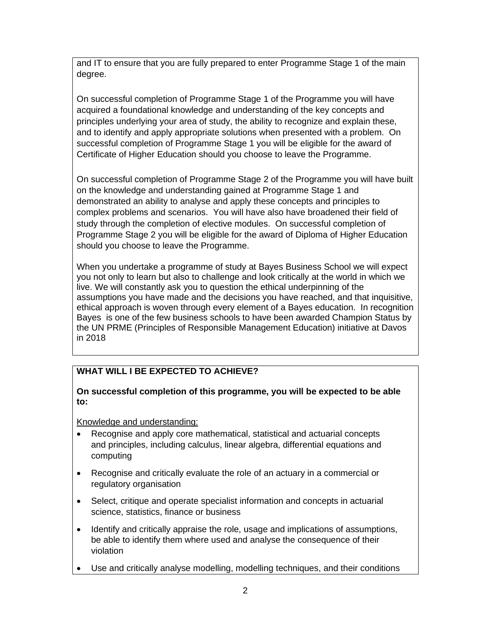and IT to ensure that you are fully prepared to enter Programme Stage 1 of the main degree.

On successful completion of Programme Stage 1 of the Programme you will have acquired a foundational knowledge and understanding of the key concepts and principles underlying your area of study, the ability to recognize and explain these, and to identify and apply appropriate solutions when presented with a problem. On successful completion of Programme Stage 1 you will be eligible for the award of Certificate of Higher Education should you choose to leave the Programme.

On successful completion of Programme Stage 2 of the Programme you will have built on the knowledge and understanding gained at Programme Stage 1 and demonstrated an ability to analyse and apply these concepts and principles to complex problems and scenarios. You will have also have broadened their field of study through the completion of elective modules. On successful completion of Programme Stage 2 you will be eligible for the award of Diploma of Higher Education should you choose to leave the Programme.

When you undertake a programme of study at Bayes Business School we will expect you not only to learn but also to challenge and look critically at the world in which we live. We will constantly ask you to question the ethical underpinning of the assumptions you have made and the decisions you have reached, and that inquisitive, ethical approach is woven through every element of a Bayes education. In recognition Bayes is one of the few business schools to have been awarded Champion Status by the UN PRME (Principles of Responsible Management Education) initiative at Davos in 2018

# **WHAT WILL I BE EXPECTED TO ACHIEVE?**

### **On successful completion of this programme, you will be expected to be able to:**

Knowledge and understanding:

- Recognise and apply core mathematical, statistical and actuarial concepts and principles, including calculus, linear algebra, differential equations and computing
- Recognise and critically evaluate the role of an actuary in a commercial or regulatory organisation
- Select, critique and operate specialist information and concepts in actuarial science, statistics, finance or business
- Identify and critically appraise the role, usage and implications of assumptions, be able to identify them where used and analyse the consequence of their violation
- Use and critically analyse modelling, modelling techniques, and their conditions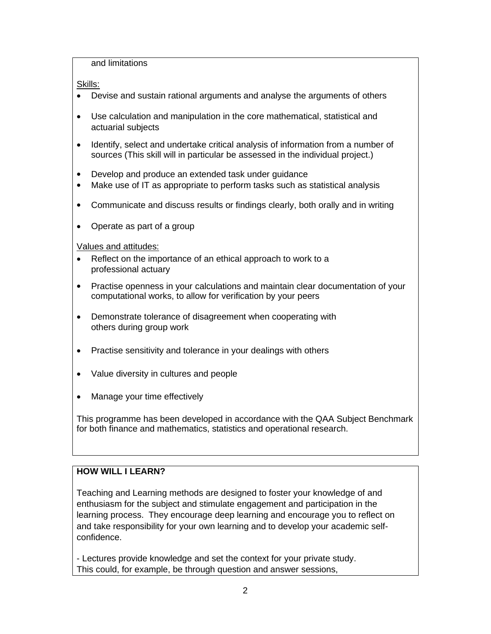and limitations

Skills:

- Devise and sustain rational arguments and analyse the arguments of others
- Use calculation and manipulation in the core mathematical, statistical and actuarial subjects
- Identify, select and undertake critical analysis of information from a number of sources (This skill will in particular be assessed in the individual project.)
- Develop and produce an extended task under guidance
- Make use of IT as appropriate to perform tasks such as statistical analysis
- Communicate and discuss results or findings clearly, both orally and in writing
- Operate as part of a group

Values and attitudes:

- Reflect on the importance of an ethical approach to work to a professional actuary
- Practise openness in your calculations and maintain clear documentation of your computational works, to allow for verification by your peers
- Demonstrate tolerance of disagreement when cooperating with others during group work
- Practise sensitivity and tolerance in your dealings with others
- Value diversity in cultures and people
- Manage your time effectively

This programme has been developed in accordance with the QAA Subject Benchmark for both finance and mathematics, statistics and operational research.

## **HOW WILL I LEARN?**

Teaching and Learning methods are designed to foster your knowledge of and enthusiasm for the subject and stimulate engagement and participation in the learning process. They encourage deep learning and encourage you to reflect on and take responsibility for your own learning and to develop your academic selfconfidence.

- Lectures provide knowledge and set the context for your private study. This could, for example, be through question and answer sessions,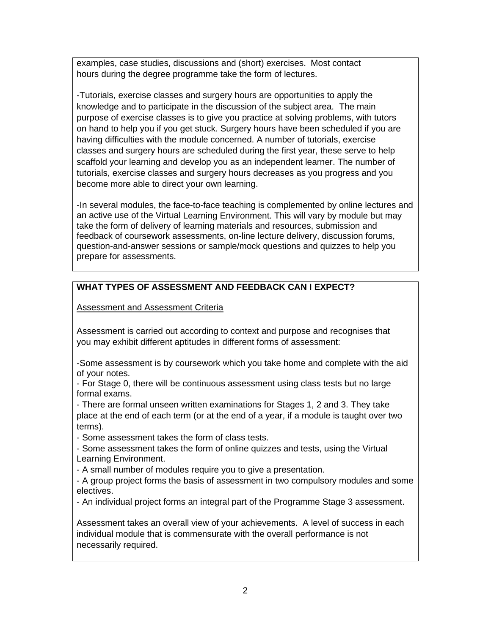examples, case studies, discussions and (short) exercises. Most contact hours during the degree programme take the form of lectures.

-Tutorials, exercise classes and surgery hours are opportunities to apply the knowledge and to participate in the discussion of the subject area. The main purpose of exercise classes is to give you practice at solving problems, with tutors on hand to help you if you get stuck. Surgery hours have been scheduled if you are having difficulties with the module concerned. A number of tutorials, exercise classes and surgery hours are scheduled during the first year, these serve to help scaffold your learning and develop you as an independent learner. The number of tutorials, exercise classes and surgery hours decreases as you progress and you become more able to direct your own learning.

-In several modules, the face-to-face teaching is complemented by online lectures and an active use of the Virtual Learning Environment. This will vary by module but may take the form of delivery of learning materials and resources, submission and feedback of coursework assessments, on-line lecture delivery, discussion forums, question-and-answer sessions or sample/mock questions and quizzes to help you prepare for assessments.

# **WHAT TYPES OF ASSESSMENT AND FEEDBACK CAN I EXPECT?**

Assessment and Assessment Criteria

Assessment is carried out according to context and purpose and recognises that you may exhibit different aptitudes in different forms of assessment:

-Some assessment is by coursework which you take home and complete with the aid of your notes.

- For Stage 0, there will be continuous assessment using class tests but no large formal exams.

- There are formal unseen written examinations for Stages 1, 2 and 3. They take place at the end of each term (or at the end of a year, if a module is taught over two terms).

- Some assessment takes the form of class tests.

- Some assessment takes the form of online quizzes and tests, using the Virtual Learning Environment.

- A small number of modules require you to give a presentation.

- A group project forms the basis of assessment in two compulsory modules and some electives.

- An individual project forms an integral part of the Programme Stage 3 assessment.

Assessment takes an overall view of your achievements. A level of success in each individual module that is commensurate with the overall performance is not necessarily required.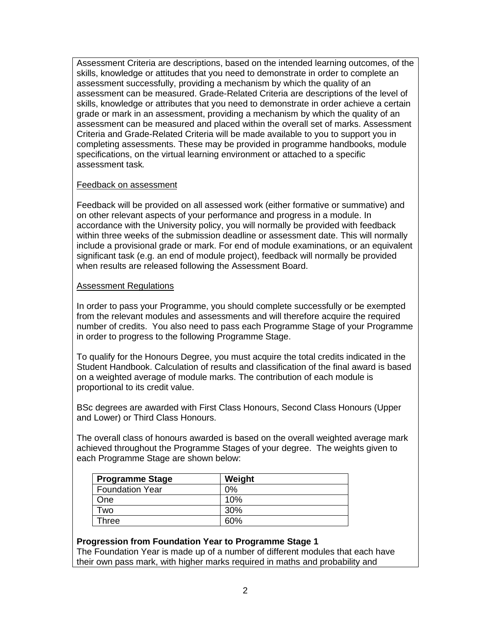Assessment Criteria are descriptions, based on the intended learning outcomes, of the skills, knowledge or attitudes that you need to demonstrate in order to complete an assessment successfully, providing a mechanism by which the quality of an assessment can be measured. Grade-Related Criteria are descriptions of the level of skills, knowledge or attributes that you need to demonstrate in order achieve a certain grade or mark in an assessment, providing a mechanism by which the quality of an assessment can be measured and placed within the overall set of marks. Assessment Criteria and Grade-Related Criteria will be made available to you to support you in completing assessments. These may be provided in programme handbooks, module specifications, on the virtual learning environment or attached to a specific assessment task*.*

#### Feedback on assessment

Feedback will be provided on all assessed work (either formative or summative) and on other relevant aspects of your performance and progress in a module. In accordance with the University policy, you will normally be provided with feedback within three weeks of the submission deadline or assessment date. This will normally include a provisional grade or mark. For end of module examinations, or an equivalent significant task (e.g. an end of module project), feedback will normally be provided when results are released following the Assessment Board.

#### Assessment Regulations

In order to pass your Programme, you should complete successfully or be exempted from the relevant modules and assessments and will therefore acquire the required number of credits. You also need to pass each Programme Stage of your Programme in order to progress to the following Programme Stage.

To qualify for the Honours Degree, you must acquire the total credits indicated in the Student Handbook. Calculation of results and classification of the final award is based on a weighted average of module marks. The contribution of each module is proportional to its credit value.

BSc degrees are awarded with First Class Honours, Second Class Honours (Upper and Lower) or Third Class Honours.

The overall class of honours awarded is based on the overall weighted average mark achieved throughout the Programme Stages of your degree. The weights given to each Programme Stage are shown below:

| <b>Programme Stage</b> | Weight |
|------------------------|--------|
| <b>Foundation Year</b> | 0%     |
| One                    | 10%    |
| wo.                    | 30%    |
| Three                  | 60%    |

#### **Progression from Foundation Year to Programme Stage 1**

The Foundation Year is made up of a number of different modules that each have their own pass mark, with higher marks required in maths and probability and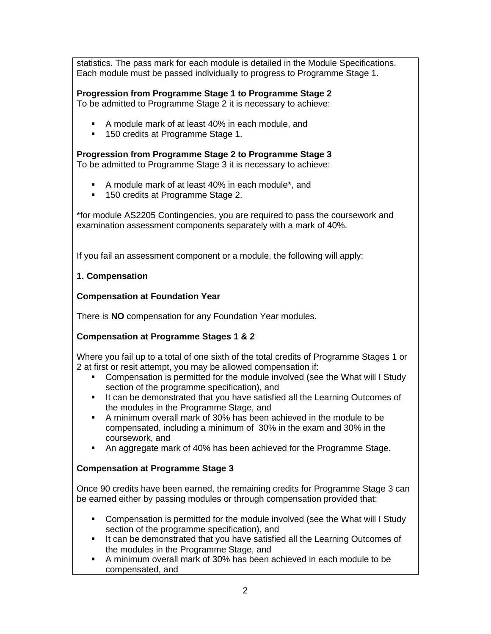statistics. The pass mark for each module is detailed in the Module Specifications. Each module must be passed individually to progress to Programme Stage 1.

## **Progression from Programme Stage 1 to Programme Stage 2**

To be admitted to Programme Stage 2 it is necessary to achieve:

- A module mark of at least 40% in each module, and
- 150 credits at Programme Stage 1.

## **Progression from Programme Stage 2 to Programme Stage 3**

To be admitted to Programme Stage 3 it is necessary to achieve:

- A module mark of at least 40% in each module\*, and
- 150 credits at Programme Stage 2.

\*for module AS2205 Contingencies, you are required to pass the coursework and examination assessment components separately with a mark of 40%.

If you fail an assessment component or a module, the following will apply:

### **1. Compensation**

### **Compensation at Foundation Year**

There is **NO** compensation for any Foundation Year modules.

## **Compensation at Programme Stages 1 & 2**

Where you fail up to a total of one sixth of the total credits of Programme Stages 1 or 2 at first or resit attempt, you may be allowed compensation if:

- Compensation is permitted for the module involved (see the What will I Study section of the programme specification), and
- It can be demonstrated that you have satisfied all the Learning Outcomes of the modules in the Programme Stage, and
- A minimum overall mark of 30% has been achieved in the module to be compensated, including a minimum of 30% in the exam and 30% in the coursework, and
- An aggregate mark of 40% has been achieved for the Programme Stage.

## **Compensation at Programme Stage 3**

Once 90 credits have been earned, the remaining credits for Programme Stage 3 can be earned either by passing modules or through compensation provided that:

- Compensation is permitted for the module involved (see the What will I Study section of the programme specification), and
- It can be demonstrated that you have satisfied all the Learning Outcomes of the modules in the Programme Stage, and
- A minimum overall mark of 30% has been achieved in each module to be compensated, and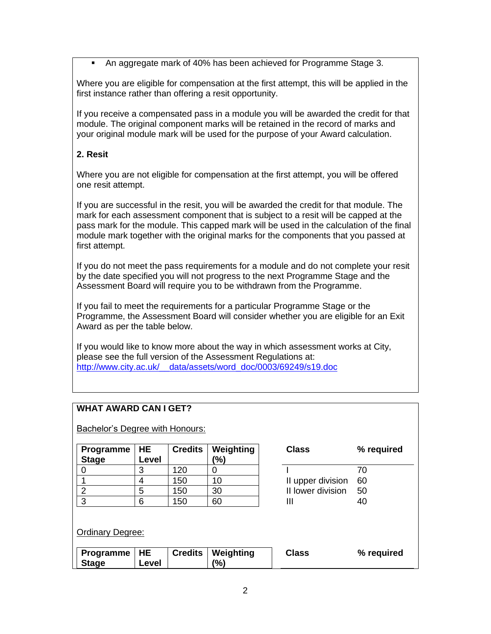An aggregate mark of 40% has been achieved for Programme Stage 3.

Where you are eligible for compensation at the first attempt, this will be applied in the first instance rather than offering a resit opportunity.

If you receive a compensated pass in a module you will be awarded the credit for that module. The original component marks will be retained in the record of marks and your original module mark will be used for the purpose of your Award calculation.

## **2. Resit**

Where you are not eligible for compensation at the first attempt, you will be offered one resit attempt.

If you are successful in the resit, you will be awarded the credit for that module. The mark for each assessment component that is subject to a resit will be capped at the pass mark for the module. This capped mark will be used in the calculation of the final module mark together with the original marks for the components that you passed at first attempt.

If you do not meet the pass requirements for a module and do not complete your resit by the date specified you will not progress to the next Programme Stage and the Assessment Board will require you to be withdrawn from the Programme.

If you fail to meet the requirements for a particular Programme Stage or the Programme, the Assessment Board will consider whether you are eligible for an Exit Award as per the table below.

If you would like to know more about the way in which assessment works at City, please see the full version of the Assessment Regulations at: [http://www.city.ac.uk/\\_\\_data/assets/word\\_doc/0003/69249/s19.doc](about:blank)

## **WHAT AWARD CAN I GET?**

Bachelor's Degree with Honours:

| Programme   HE<br><b>Stage</b> | Level | <b>Credits</b> | Weighting<br>(%) | <b>Class</b>      | ℅  |
|--------------------------------|-------|----------------|------------------|-------------------|----|
|                                |       | 120            |                  |                   | 70 |
|                                |       | 150            | 10               | II upper division | 60 |
|                                | 5     | 150            | 30               | II lower division | 50 |
| 3                              |       | 150            | 60               |                   | 40 |

| Class             | % required |
|-------------------|------------|
|                   | 70         |
| II upper division | 60         |
| II lower division | 50         |
| Ш                 | 40         |

### Ordinary Degree:

| Programme   HE |       | <b>Credits   Weighting</b> | <b>Class</b> | % required |
|----------------|-------|----------------------------|--------------|------------|
| <b>Stage</b>   | Level | (9/6)                      |              |            |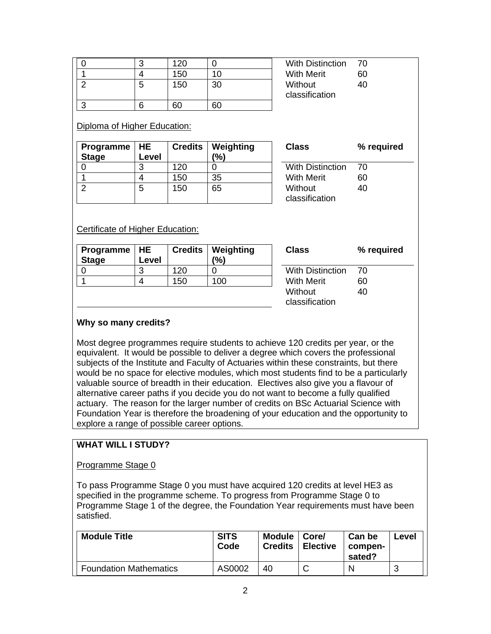|   | 120 |    |
|---|-----|----|
|   | 150 | 10 |
| 5 | 150 | 30 |
|   |     |    |
|   | 60  | RΠ |

With Distinction 70 With Merit 60 Without classification 40

#### Diploma of Higher Education:

| Programme $ HE$<br><b>Stage</b> | Level | <b>Credits</b> | Weighting<br>(%) | <b>Class</b>              | ℅  |
|---------------------------------|-------|----------------|------------------|---------------------------|----|
|                                 |       | 120            |                  | <b>With Distinction</b>   | 70 |
|                                 |       | 150            | 35               | <b>With Merit</b>         | 60 |
|                                 | 5     | 150            | 65               | Without<br>classification | 40 |

| Class                   | % required |
|-------------------------|------------|
| <b>With Distinction</b> | 70         |
| <b>With Merit</b>       | 60         |
| Without                 | 40         |
| classification          |            |

### Certificate of Higher Education:

| Programme $ HE$<br><b>Stage</b> | Level |     | <b>Credits   Weighting</b><br>(%) | Class                     | % required |
|---------------------------------|-------|-----|-----------------------------------|---------------------------|------------|
|                                 | 3     | 120 |                                   | <b>With Distinction</b>   | - 70       |
|                                 |       | 150 | 100                               | <b>With Merit</b>         | 60         |
|                                 |       |     |                                   | Without<br>classification | 40         |

#### **Why so many credits?**

Most degree programmes require students to achieve 120 credits per year, or the equivalent. It would be possible to deliver a degree which covers the professional subjects of the Institute and Faculty of Actuaries within these constraints, but there would be no space for elective modules, which most students find to be a particularly valuable source of breadth in their education. Electives also give you a flavour of alternative career paths if you decide you do not want to become a fully qualified actuary. The reason for the larger number of credits on BSc Actuarial Science with Foundation Year is therefore the broadening of your education and the opportunity to explore a range of possible career options.

#### **WHAT WILL I STUDY?**

#### Programme Stage 0

To pass Programme Stage 0 you must have acquired 120 credits at level HE3 as specified in the programme scheme. To progress from Programme Stage 0 to Programme Stage 1 of the degree, the Foundation Year requirements must have been satisfied.

| <b>Module Title</b>           | <b>SITS</b><br>Code | <b>Module</b><br><b>Credits</b> | ∣ Core/<br><b>Elective</b> | Can be<br>compen-<br>sated? | Level |
|-------------------------------|---------------------|---------------------------------|----------------------------|-----------------------------|-------|
| <b>Foundation Mathematics</b> | AS0002              | 40                              |                            | N                           | 3     |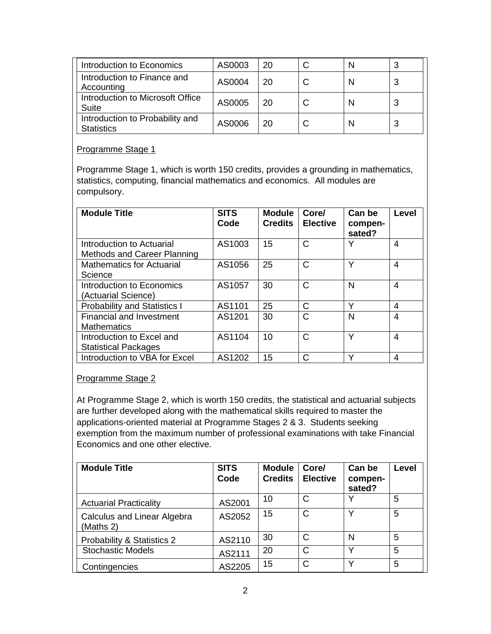| Introduction to Economics                            | AS0003 | 20 |  | 3 |
|------------------------------------------------------|--------|----|--|---|
| Introduction to Finance and<br>Accounting            | AS0004 | 20 |  | 3 |
| Introduction to Microsoft Office<br>Suite            | AS0005 | 20 |  | 3 |
| Introduction to Probability and<br><b>Statistics</b> | AS0006 | 20 |  | 3 |

### Programme Stage 1

Programme Stage 1, which is worth 150 credits, provides a grounding in mathematics, statistics, computing, financial mathematics and economics. All modules are compulsory.

| <b>Module Title</b>                                             | <b>SITS</b><br>Code | <b>Module</b><br><b>Credits</b> | Core/<br><b>Elective</b> | Can be<br>compen-<br>sated? | Level |
|-----------------------------------------------------------------|---------------------|---------------------------------|--------------------------|-----------------------------|-------|
| Introduction to Actuarial<br><b>Methods and Career Planning</b> | AS1003              | 15                              | C                        |                             | 4     |
| <b>Mathematics for Actuarial</b><br>Science                     | AS1056              | 25                              | C                        | Υ                           | 4     |
| Introduction to Economics<br>(Actuarial Science)                | AS1057              | 30                              | $\mathsf{C}$             | N                           | 4     |
| <b>Probability and Statistics I</b>                             | AS1101              | 25                              | C                        | Υ                           | 4     |
| <b>Financial and Investment</b><br><b>Mathematics</b>           | AS1201              | 30                              | C                        | N                           | 4     |
| Introduction to Excel and<br><b>Statistical Packages</b>        | AS1104              | 10                              | C                        | v                           | 4     |
| Introduction to VBA for Excel                                   | AS1202              | 15                              | C                        |                             | 4     |

### Programme Stage 2

At Programme Stage 2, which is worth 150 credits, the statistical and actuarial subjects are further developed along with the mathematical skills required to master the applications-oriented material at Programme Stages 2 & 3. Students seeking exemption from the maximum number of professional examinations with take Financial Economics and one other elective.

| <b>Module Title</b>                             | <b>SITS</b><br>Code | <b>Module</b><br><b>Credits</b> | Core/<br><b>Elective</b> | Can be<br>compen-<br>sated? | Level |
|-------------------------------------------------|---------------------|---------------------------------|--------------------------|-----------------------------|-------|
| <b>Actuarial Practicality</b>                   | AS2001              | 10                              | C                        |                             | 5     |
| <b>Calculus and Linear Algebra</b><br>(Maths 2) | AS2052              | 15                              | С                        |                             | 5     |
| Probability & Statistics 2                      | AS2110              | 30                              | С                        | N                           | 5     |
| <b>Stochastic Models</b>                        | AS2111              | 20                              | С                        | $\check{ }$                 | 5     |
| Contingencies                                   | AS2205              | 15                              | Ć                        |                             | 5     |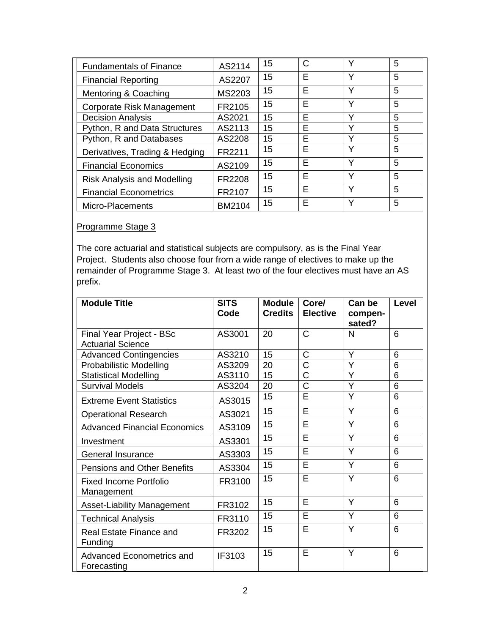| <b>Fundamentals of Finance</b>     | AS2114 | 15 | С | ν           | 5 |
|------------------------------------|--------|----|---|-------------|---|
| <b>Financial Reporting</b>         | AS2207 | 15 | E | Υ           | 5 |
| Mentoring & Coaching               | MS2203 | 15 | E | Υ           | 5 |
| Corporate Risk Management          | FR2105 | 15 | Е | Υ           | 5 |
| <b>Decision Analysis</b>           | AS2021 | 15 | E | $\check{ }$ | 5 |
| Python, R and Data Structures      | AS2113 | 15 | E | ν           | 5 |
| Python, R and Databases            | AS2208 | 15 | E | $\check{ }$ | 5 |
| Derivatives, Trading & Hedging     | FR2211 | 15 | Е | Υ           | 5 |
| <b>Financial Economics</b>         | AS2109 | 15 | Е | Υ           | 5 |
| <b>Risk Analysis and Modelling</b> | FR2208 | 15 | E | Υ           | 5 |
| <b>Financial Econometrics</b>      | FR2107 | 15 | E | Υ           | 5 |
| Micro-Placements                   | BM2104 | 15 | E | Υ           | 5 |

## Programme Stage 3

The core actuarial and statistical subjects are compulsory, as is the Final Year Project. Students also choose four from a wide range of electives to make up the remainder of Programme Stage 3. At least two of the four electives must have an AS prefix.

| <b>Module Title</b>                      | <b>SITS</b><br>Code | <b>Module</b><br><b>Credits</b> | Core/<br><b>Elective</b> | Can be<br>compen-<br>sated? | <b>Level</b> |
|------------------------------------------|---------------------|---------------------------------|--------------------------|-----------------------------|--------------|
| Final Year Project - BSc                 | AS3001              | 20                              | $\overline{C}$           | N                           | 6            |
| <b>Actuarial Science</b>                 |                     |                                 |                          |                             |              |
| <b>Advanced Contingencies</b>            | AS3210              | 15                              | C                        | Y                           | 6            |
| Probabilistic Modelling                  | AS3209              | 20                              | Ć                        | Y                           | 6            |
| <b>Statistical Modelling</b>             | AS3110              | 15                              | Ć                        | Y                           | 6            |
| <b>Survival Models</b>                   | AS3204              | 20                              | $\overline{\text{C}}$    | Y                           | 6            |
| <b>Extreme Event Statistics</b>          | AS3015              | 15                              | E                        | Y                           | 6            |
| <b>Operational Research</b>              | AS3021              | 15                              | E                        | Y                           | 6            |
| <b>Advanced Financial Economics</b>      | AS3109              | 15                              | Ē                        | Y                           | 6            |
| Investment                               | AS3301              | 15                              | E                        | Y                           | 6            |
| General Insurance                        | AS3303              | 15                              | E                        | Y                           | 6            |
| <b>Pensions and Other Benefits</b>       | AS3304              | 15                              | E                        | Y                           | 6            |
| Fixed Income Portfolio<br>Management     | FR3100              | 15                              | E                        | Y                           | 6            |
| <b>Asset-Liability Management</b>        | FR3102              | 15                              | E                        | Y                           | 6            |
| <b>Technical Analysis</b>                | FR3110              | 15                              | E                        | Y                           | 6            |
| Real Estate Finance and<br>Funding       | FR3202              | 15                              | E                        | Y                           | 6            |
| Advanced Econometrics and<br>Forecasting | IF3103              | 15                              | E                        | Y                           | 6            |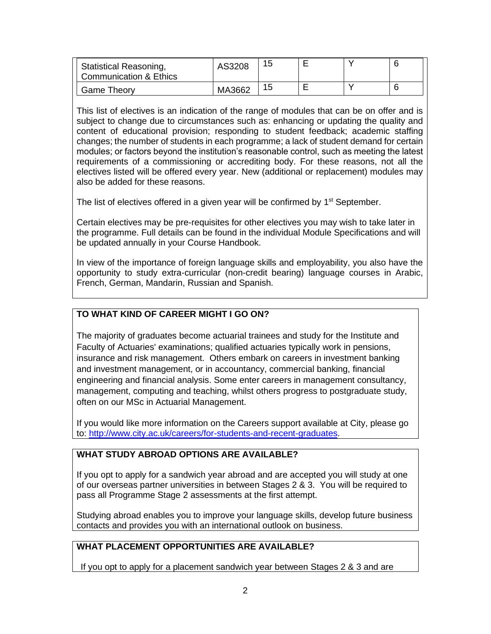| <b>Statistical Reasoning,</b><br>Communication & Ethics | AS3208 | 15 |  |  |
|---------------------------------------------------------|--------|----|--|--|
| <b>Game Theory</b>                                      | MA3662 | 15 |  |  |

This list of electives is an indication of the range of modules that can be on offer and is subject to change due to circumstances such as: enhancing or updating the quality and content of educational provision; responding to student feedback; academic staffing changes; the number of students in each programme; a lack of student demand for certain modules; or factors beyond the institution's reasonable control, such as meeting the latest requirements of a commissioning or accrediting body. For these reasons, not all the electives listed will be offered every year. New (additional or replacement) modules may also be added for these reasons.

The list of electives offered in a given year will be confirmed by 1<sup>st</sup> September.

Certain electives may be pre-requisites for other electives you may wish to take later in the programme. Full details can be found in the individual Module Specifications and will be updated annually in your Course Handbook.

In view of the importance of foreign language skills and employability, you also have the opportunity to study extra-curricular (non-credit bearing) language courses in Arabic, French, German, Mandarin, Russian and Spanish.

## **TO WHAT KIND OF CAREER MIGHT I GO ON?**

The majority of graduates become actuarial trainees and study for the Institute and Faculty of Actuaries' examinations; qualified actuaries typically work in pensions, insurance and risk management. Others embark on careers in investment banking and investment management, or in accountancy, commercial banking, financial engineering and financial analysis. Some enter careers in management consultancy, management, computing and teaching, whilst others progress to postgraduate study, often on our MSc in Actuarial Management.

If you would like more information on the Careers support available at City, please go to: [http://www.city.ac.uk/careers/for-students-and-recent-graduates.](about:blank)

## **WHAT STUDY ABROAD OPTIONS ARE AVAILABLE?**

If you opt to apply for a sandwich year abroad and are accepted you will study at one of our overseas partner universities in between Stages 2 & 3. You will be required to pass all Programme Stage 2 assessments at the first attempt.

Studying abroad enables you to improve your language skills, develop future business contacts and provides you with an international outlook on business.

## **WHAT PLACEMENT OPPORTUNITIES ARE AVAILABLE?**

If you opt to apply for a placement sandwich year between Stages 2 & 3 and are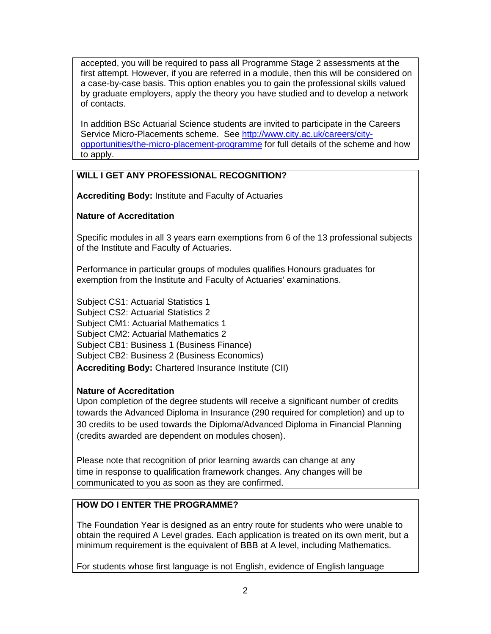accepted, you will be required to pass all Programme Stage 2 assessments at the first attempt. However, if you are referred in a module, then this will be considered on a case-by-case basis. This option enables you to gain the professional skills valued by graduate employers, apply the theory you have studied and to develop a network of contacts.

In addition BSc Actuarial Science students are invited to participate in the Careers Service Micro-Placements scheme. See [http://www.city.ac.uk/careers/city](about:blank)[opportunities/the-micro-placement-programme](about:blank) for full details of the scheme and how to apply.

## **WILL I GET ANY PROFESSIONAL RECOGNITION?**

**Accrediting Body:** Institute and Faculty of Actuaries

### **Nature of Accreditation**

Specific modules in all 3 years earn exemptions from 6 of the 13 professional subjects of the Institute and Faculty of Actuaries.

Performance in particular groups of modules qualifies Honours graduates for exemption from the Institute and Faculty of Actuaries' examinations.

Subject CS1: Actuarial Statistics 1 Subject CS2: Actuarial Statistics 2 Subject CM1: Actuarial Mathematics 1 Subject CM2: Actuarial Mathematics 2 Subject CB1: Business 1 (Business Finance) Subject CB2: Business 2 (Business Economics) **Accrediting Body:** Chartered Insurance Institute (CII)

### **Nature of Accreditation**

Upon completion of the degree students will receive a significant number of credits towards the Advanced Diploma in Insurance (290 required for completion) and up to 30 credits to be used towards the Diploma/Advanced Diploma in Financial Planning (credits awarded are dependent on modules chosen).

Please note that recognition of prior learning awards can change at any time in response to qualification framework changes. Any changes will be communicated to you as soon as they are confirmed.

## **HOW DO I ENTER THE PROGRAMME?**

The Foundation Year is designed as an entry route for students who were unable to obtain the required A Level grades. Each application is treated on its own merit, but a minimum requirement is the equivalent of BBB at A level, including Mathematics.

For students whose first language is not English, evidence of English language